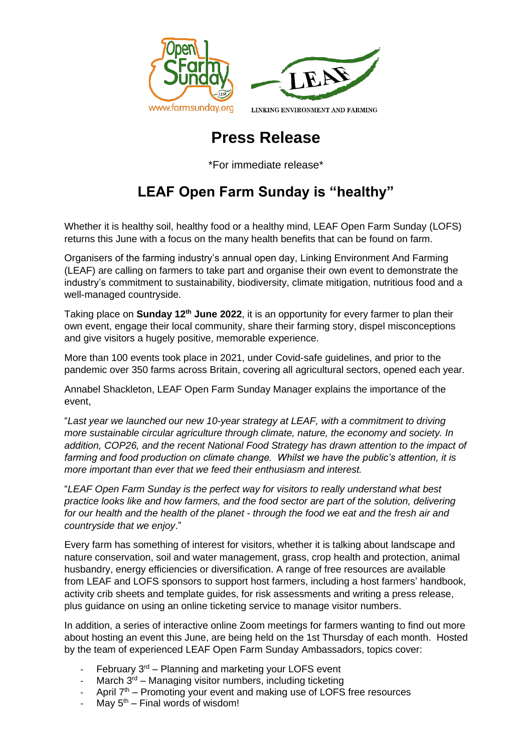



# **Press Release**

\*For immediate release\*

# **LEAF Open Farm Sunday is "healthy"**

Whether it is healthy soil, healthy food or a healthy mind, LEAF Open Farm Sunday (LOFS) returns this June with a focus on the many health benefits that can be found on farm.

Organisers of the farming industry's annual open day, Linking Environment And Farming (LEAF) are calling on farmers to take part and organise their own event to demonstrate the industry's commitment to sustainability, biodiversity, climate mitigation, nutritious food and a well-managed countryside.

Taking place on **Sunday 12th June 2022**, it is an opportunity for every farmer to plan their own event, engage their local community, share their farming story, dispel misconceptions and give visitors a hugely positive, memorable experience.

More than 100 events took place in 2021, under Covid-safe guidelines, and prior to the pandemic over 350 farms across Britain, covering all agricultural sectors, opened each year.

Annabel Shackleton, LEAF Open Farm Sunday Manager explains the importance of the event,

"*Last year we launched our new 10-year strategy at LEAF, with a commitment to driving more sustainable circular agriculture through climate, nature, the economy and society. In addition, COP26, and the recent National Food Strategy has drawn attention to the impact of farming and food production on climate change. Whilst we have the public's attention, it is more important than ever that we feed their enthusiasm and interest.* 

"*LEAF Open Farm Sunday is the perfect way for visitors to really understand what best practice looks like and how farmers, and the food sector are part of the solution, delivering for our health and the health of the planet - through the food we eat and the fresh air and countryside that we enjoy*."

Every farm has something of interest for visitors, whether it is talking about landscape and nature conservation, soil and water management, grass, crop health and protection, animal husbandry, energy efficiencies or diversification. A range of free resources are available from LEAF and LOFS sponsors to support host farmers, including a host farmers' handbook, activity crib sheets and template guides, for risk assessments and writing a press release, plus guidance on using an online ticketing service to manage visitor numbers.

In addition, a series of interactive online Zoom meetings for farmers wanting to find out more about hosting an event this June, are being held on the 1st Thursday of each month. Hosted by the team of experienced LEAF Open Farm Sunday Ambassadors, topics cover:

- February  $3<sup>rd</sup>$  Planning and marketing your LOFS event
- March  $3^{rd}$  Managing visitor numbers, including ticketing
- April  $7<sup>th</sup>$  Promoting your event and making use of LOFS free resources
- May  $5<sup>th</sup>$  Final words of wisdom!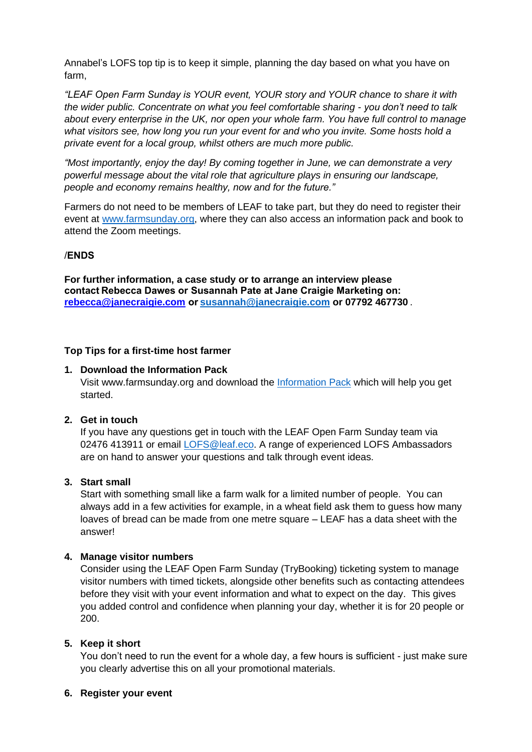Annabel's LOFS top tip is to keep it simple, planning the day based on what you have on farm,

*"LEAF Open Farm Sunday is YOUR event, YOUR story and YOUR chance to share it with the wider public. Concentrate on what you feel comfortable sharing - you don't need to talk about every enterprise in the UK, nor open your whole farm. You have full control to manage what visitors see, how long you run your event for and who you invite. Some hosts hold a private event for a local group, whilst others are much more public.*

*"Most importantly, enjoy the day! By coming together in June, we can demonstrate a very powerful message about the vital role that agriculture plays in ensuring our landscape, people and economy remains healthy, now and for the future."*

Farmers do not need to be members of LEAF to take part, but they do need to register their event at [www.farmsunday.org,](http://www.farmsunday.org/) where they can also access an information pack and book to attend the Zoom meetings.

### /**ENDS**

**For further information, a case study or to arrange an interview please contact Rebecca Dawes or Susannah Pate at Jane Craigie Marketing on:  [rebecca@janecraigie.com](mailto:susannah@janecraigie.com) or[susannah@janecraigie.com](mailto:susannah@​janecraigie.​com) or 07792 467730** .

#### **Top Tips for a first-time host farmer**

#### **1. Download the Information Pack**

Visit www.farmsunday.org and download the [Information Pack](https://issuu.com/linking-environment-and-farming/docs/lofs_2022_information_pack_-_final?fr=sMjg3ZTQ1OTA2Mjk) which will help you get started.

### **2. Get in touch**

If you have any questions get in touch with the LEAF Open Farm Sunday team via 02476 413911 or email *LOFS@leaf.eco*. A range of experienced LOFS Ambassadors are on hand to answer your questions and talk through event ideas.

#### **3. Start small**

Start with something small like a farm walk for a limited number of people. You can always add in a few activities for example, in a wheat field ask them to guess how many loaves of bread can be made from one metre square – LEAF has a data sheet with the answer!

#### **4. Manage visitor numbers**

Consider using the LEAF Open Farm Sunday (TryBooking) ticketing system to manage visitor numbers with timed tickets, alongside other benefits such as contacting attendees before they visit with your event information and what to expect on the day. This gives you added control and confidence when planning your day, whether it is for 20 people or 200.

#### **5. Keep it short**

You don't need to run the event for a whole day, a few hours is sufficient - just make sure you clearly advertise this on all your promotional materials.

#### **6. Register your event**